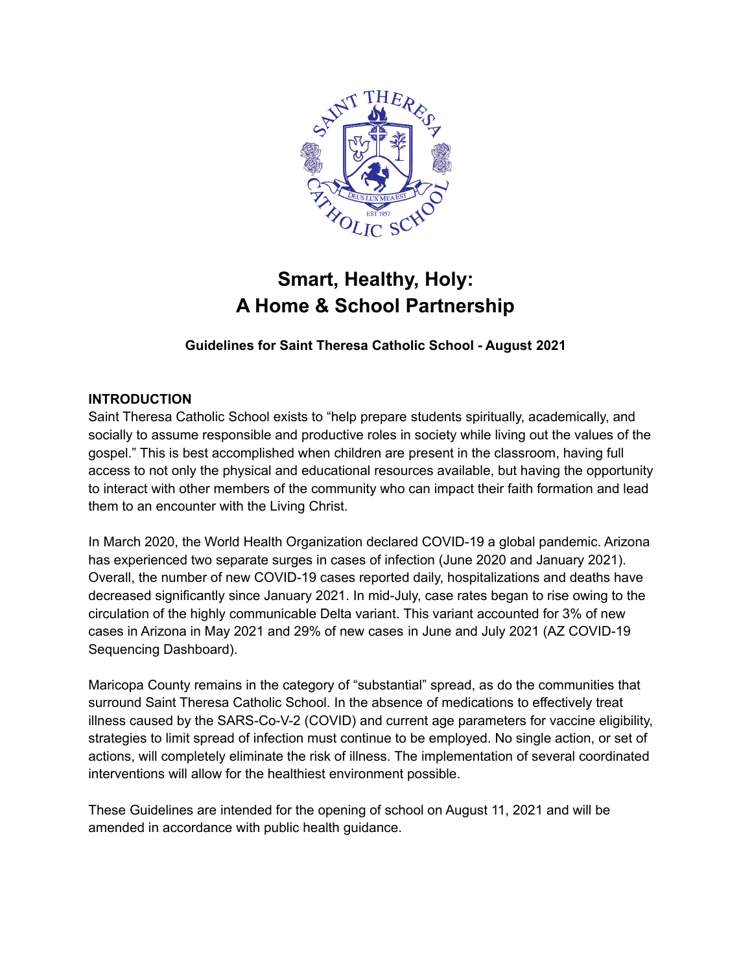

# **Smart, Healthy, Holy: A Home & School Partnership**

**Guidelines for Saint Theresa Catholic School - August 2021**

### **INTRODUCTION**

Saint Theresa Catholic School exists to "help prepare students spiritually, academically, and socially to assume responsible and productive roles in society while living out the values of the gospel." This is best accomplished when children are present in the classroom, having full access to not only the physical and educational resources available, but having the opportunity to interact with other members of the community who can impact their faith formation and lead them to an encounter with the Living Christ.

In March 2020, the World Health Organization declared COVID-19 a global pandemic. Arizona has experienced two separate surges in cases of infection (June 2020 and January 2021). Overall, the number of new COVID-19 cases reported daily, hospitalizations and deaths have decreased significantly since January 2021. In mid-July, case rates began to rise owing to the circulation of the highly communicable Delta variant. This variant accounted for 3% of new cases in Arizona in May 2021 and 29% of new cases in June and July 2021 (AZ COVID-19 Sequencing Dashboard).

Maricopa County remains in the category of "substantial" spread, as do the communities that surround Saint Theresa Catholic School. In the absence of medications to effectively treat illness caused by the SARS-Co-V-2 (COVID) and current age parameters for vaccine eligibility, strategies to limit spread of infection must continue to be employed. No single action, or set of actions, will completely eliminate the risk of illness. The implementation of several coordinated interventions will allow for the healthiest environment possible.

These Guidelines are intended for the opening of school on August 11, 2021 and will be amended in accordance with public health guidance.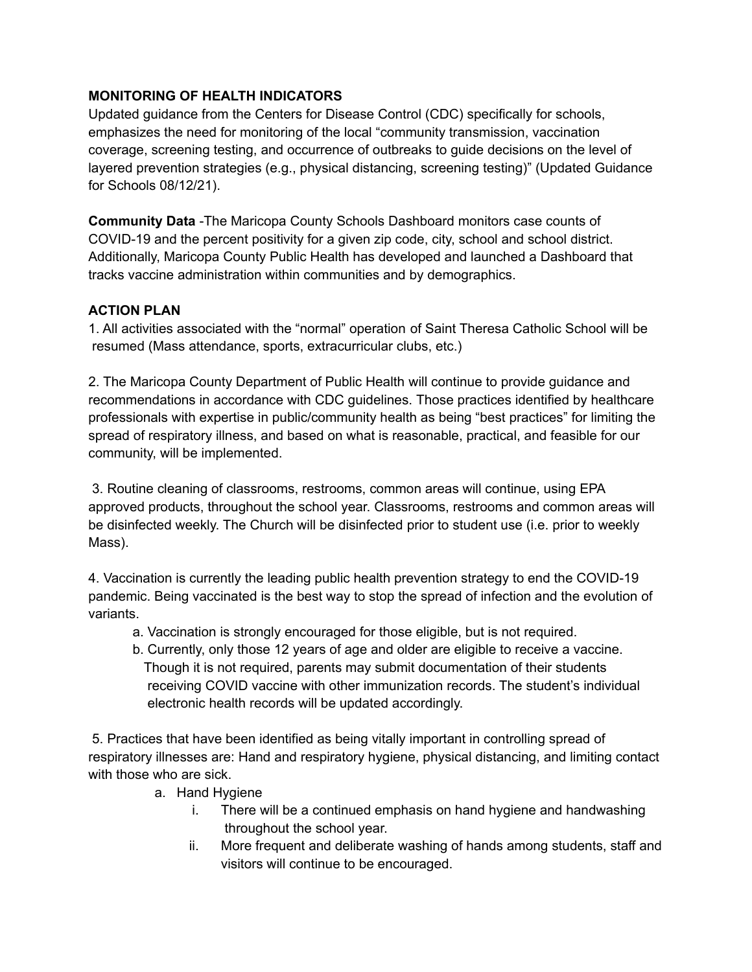## **MONITORING OF HEALTH INDICATORS**

Updated guidance from the Centers for Disease Control (CDC) specifically for schools, emphasizes the need for monitoring of the local "community transmission, vaccination coverage, screening testing, and occurrence of outbreaks to guide decisions on the level of layered prevention strategies (e.g., physical distancing, screening testing)" (Updated Guidance for Schools 08/12/21).

**Community Data** -The Maricopa County Schools Dashboard monitors case counts of COVID-19 and the percent positivity for a given zip code, city, school and school district. Additionally, Maricopa County Public Health has developed and launched a Dashboard that tracks vaccine administration within communities and by demographics.

# **ACTION PLAN**

1. All activities associated with the "normal" operation of Saint Theresa Catholic School will be resumed (Mass attendance, sports, extracurricular clubs, etc.)

2. The Maricopa County Department of Public Health will continue to provide guidance and recommendations in accordance with CDC guidelines. Those practices identified by healthcare professionals with expertise in public/community health as being "best practices" for limiting the spread of respiratory illness, and based on what is reasonable, practical, and feasible for our community, will be implemented.

3. Routine cleaning of classrooms, restrooms, common areas will continue, using EPA approved products, throughout the school year. Classrooms, restrooms and common areas will be disinfected weekly. The Church will be disinfected prior to student use (i.e. prior to weekly Mass).

4. Vaccination is currently the leading public health prevention strategy to end the COVID-19 pandemic. Being vaccinated is the best way to stop the spread of infection and the evolution of variants.

- a. Vaccination is strongly encouraged for those eligible, but is not required.
- b. Currently, only those 12 years of age and older are eligible to receive a vaccine. Though it is not required, parents may submit documentation of their students receiving COVID vaccine with other immunization records. The student's individual electronic health records will be updated accordingly.

5. Practices that have been identified as being vitally important in controlling spread of respiratory illnesses are: Hand and respiratory hygiene, physical distancing, and limiting contact with those who are sick.

- a. Hand Hygiene
	- i. There will be a continued emphasis on hand hygiene and handwashing throughout the school year.
	- ii. More frequent and deliberate washing of hands among students, staff and visitors will continue to be encouraged.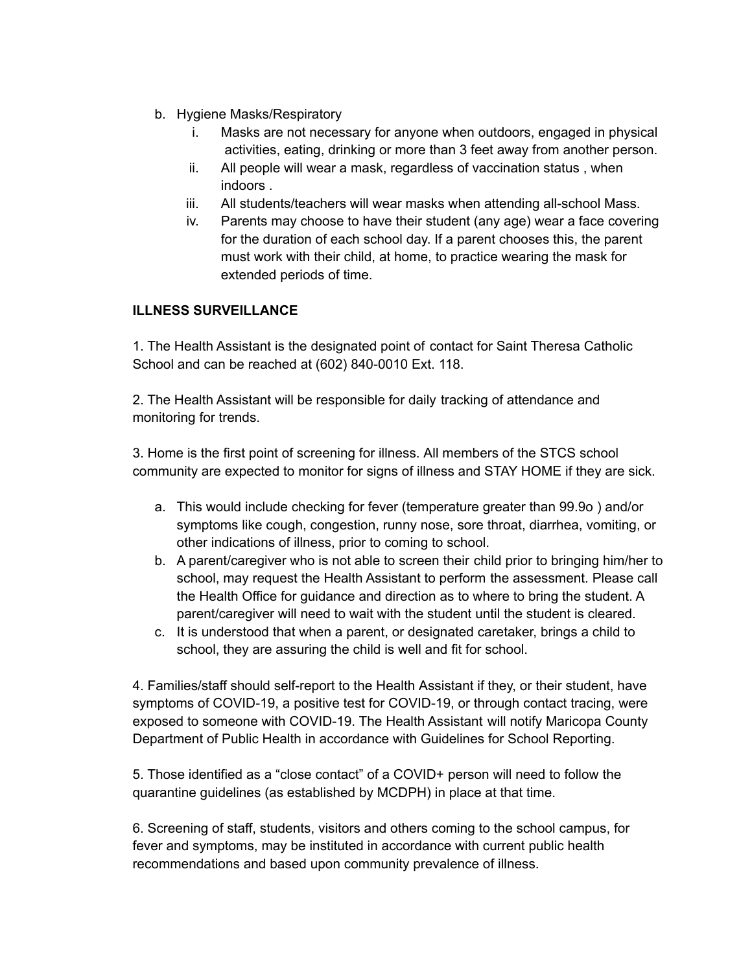- b. Hygiene Masks/Respiratory
	- i. Masks are not necessary for anyone when outdoors, engaged in physical activities, eating, drinking or more than 3 feet away from another person.
	- ii. All people will wear a mask, regardless of vaccination status , when indoors .
	- iii. All students/teachers will wear masks when attending all-school Mass.
	- iv. Parents may choose to have their student (any age) wear a face covering for the duration of each school day. If a parent chooses this, the parent must work with their child, at home, to practice wearing the mask for extended periods of time.

### **ILLNESS SURVEILLANCE**

1. The Health Assistant is the designated point of contact for Saint Theresa Catholic School and can be reached at (602) 840-0010 Ext. 118.

2. The Health Assistant will be responsible for daily tracking of attendance and monitoring for trends.

3. Home is the first point of screening for illness. All members of the STCS school community are expected to monitor for signs of illness and STAY HOME if they are sick.

- a. This would include checking for fever (temperature greater than 99.9o ) and/or symptoms like cough, congestion, runny nose, sore throat, diarrhea, vomiting, or other indications of illness, prior to coming to school.
- b. A parent/caregiver who is not able to screen their child prior to bringing him/her to school, may request the Health Assistant to perform the assessment. Please call the Health Office for guidance and direction as to where to bring the student. A parent/caregiver will need to wait with the student until the student is cleared.
- c. It is understood that when a parent, or designated caretaker, brings a child to school, they are assuring the child is well and fit for school.

4. Families/staff should self-report to the Health Assistant if they, or their student, have symptoms of COVID-19, a positive test for COVID-19, or through contact tracing, were exposed to someone with COVID-19. The Health Assistant will notify Maricopa County Department of Public Health in accordance with Guidelines for School Reporting.

5. Those identified as a "close contact" of a COVID+ person will need to follow the quarantine guidelines (as established by MCDPH) in place at that time.

6. Screening of staff, students, visitors and others coming to the school campus, for fever and symptoms, may be instituted in accordance with current public health recommendations and based upon community prevalence of illness.